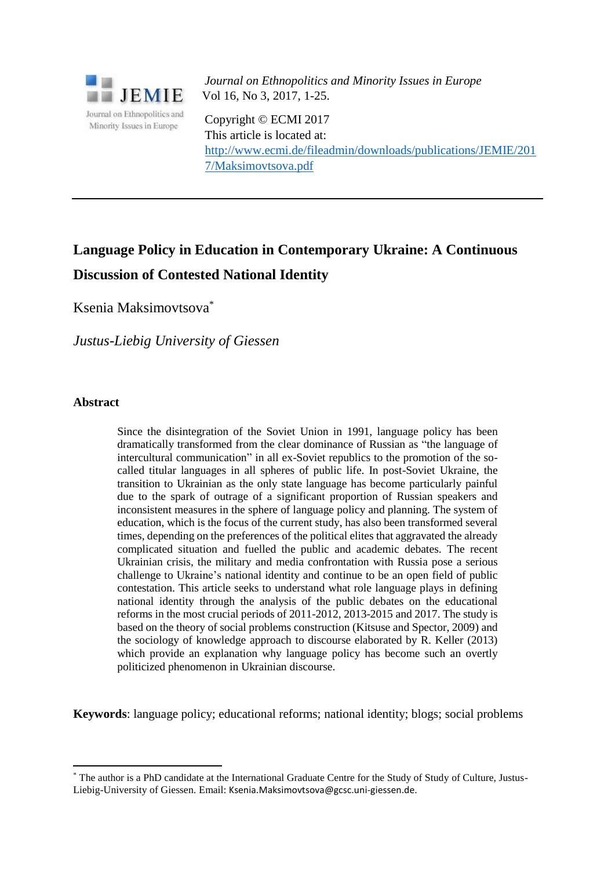

*Journal on Ethnopolitics and Minority Issues in Europe* Vol 16, No 3, 2017, 1-25.

Copyright © ECMI 2017 This article is located at: [http://www.ecmi.de/fileadmin/downloads/publications/JEMIE/201](http://www.ecmi.de/fileadmin/downloads/publications/JEMIE/201%207/Maksimovtsova.pdf)  [7/Maksimovtsova.pdf](http://www.ecmi.de/fileadmin/downloads/publications/JEMIE/201%207/Maksimovtsova.pdf)

# **Language Policy in Education in Contemporary Ukraine: A Continuous Discussion of Contested National Identity**

Ksenia Maksimovtsova\*

*Justus-Liebig University of Giessen*

## **Abstract**

 $\overline{a}$ 

Since the disintegration of the Soviet Union in 1991, language policy has been dramatically transformed from the clear dominance of Russian as "the language of intercultural communication" in all ex-Soviet republics to the promotion of the socalled titular languages in all spheres of public life. In post-Soviet Ukraine, the transition to Ukrainian as the only state language has become particularly painful due to the spark of outrage of a significant proportion of Russian speakers and inconsistent measures in the sphere of language policy and planning. The system of education, which is the focus of the current study, has also been transformed several times, depending on the preferences of the political elites that aggravated the already complicated situation and fuelled the public and academic debates. The recent Ukrainian crisis, the military and media confrontation with Russia pose a serious challenge to Ukraine's national identity and continue to be an open field of public contestation. This article seeks to understand what role language plays in defining national identity through the analysis of the public debates on the educational reforms in the most crucial periods of 2011-2012, 2013-2015 and 2017. The study is based on the theory of social problems construction (Kitsuse and Spector, 2009) and the sociology of knowledge approach to discourse elaborated by R. Keller (2013) which provide an explanation why language policy has become such an overtly politicized phenomenon in Ukrainian discourse.

**Keywords**: language policy; educational reforms; national identity; blogs; social problems

<sup>\*</sup> The author is a PhD candidate at the International Graduate Centre for the Study of Study of Culture, Justus-Liebig-University of Giessen. Email: Ksenia.Maksimovtsova@gcsc.uni-giessen.de.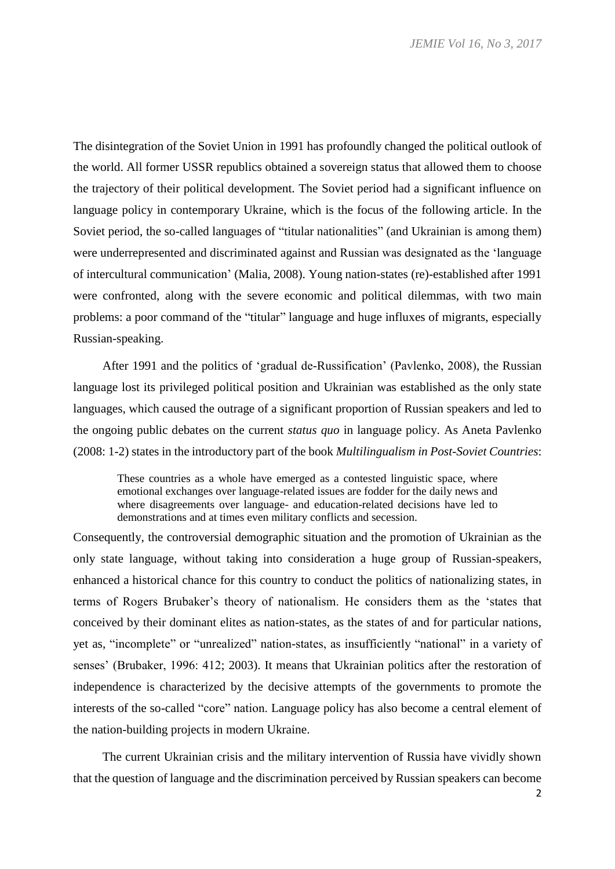The disintegration of the Soviet Union in 1991 has profoundly changed the political outlook of the world. All former USSR republics obtained a sovereign status that allowed them to choose the trajectory of their political development. The Soviet period had a significant influence on language policy in contemporary Ukraine, which is the focus of the following article. In the Soviet period, the so-called languages of "titular nationalities" (and Ukrainian is among them) were underrepresented and discriminated against and Russian was designated as the 'language of intercultural communication' (Malia, 2008). Young nation-states (re)-established after 1991 were confronted, along with the severe economic and political dilemmas, with two main problems: a poor command of the "titular" language and huge influxes of migrants, especially Russian-speaking.

After 1991 and the politics of 'gradual de-Russification' (Pavlenko, 2008), the Russian language lost its privileged political position and Ukrainian was established as the only state languages, which caused the outrage of a significant proportion of Russian speakers and led to the ongoing public debates on the current *status quo* in language policy. As Aneta Pavlenko (2008: 1-2) states in the introductory part of the book *Multilingualism in Post-Soviet Countries*:

These countries as a whole have emerged as a contested linguistic space, where emotional exchanges over language-related issues are fodder for the daily news and where disagreements over language- and education-related decisions have led to demonstrations and at times even military conflicts and secession.

Consequently, the controversial demographic situation and the promotion of Ukrainian as the only state language, without taking into consideration a huge group of Russian-speakers, enhanced a historical chance for this country to conduct the politics of nationalizing states, in terms of Rogers Brubaker's theory of nationalism. He considers them as the 'states that conceived by their dominant elites as nation-states, as the states of and for particular nations, yet as, "incomplete" or "unrealized" nation-states, as insufficiently "national" in a variety of senses' (Brubaker, 1996: 412; 2003). It means that Ukrainian politics after the restoration of independence is characterized by the decisive attempts of the governments to promote the interests of the so-called "core" nation. Language policy has also become a central element of the nation-building projects in modern Ukraine.

The current Ukrainian crisis and the military intervention of Russia have vividly shown that the question of language and the discrimination perceived by Russian speakers can become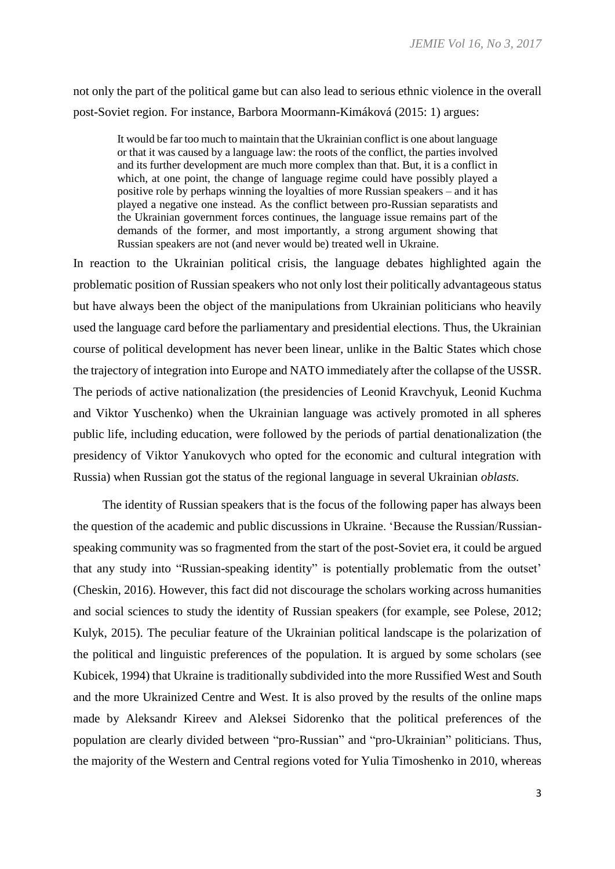not only the part of the political game but can also lead to serious ethnic violence in the overall post-Soviet region. For instance, Barbora Moormann-Kimáková (2015: 1) argues:

It would be far too much to maintain that the Ukrainian conflict is one about language or that it was caused by a language law: the roots of the conflict, the parties involved and its further development are much more complex than that. But, it is a conflict in which, at one point, the change of language regime could have possibly played a positive role by perhaps winning the loyalties of more Russian speakers – and it has played a negative one instead. As the conflict between pro-Russian separatists and the Ukrainian government forces continues, the language issue remains part of the demands of the former, and most importantly, a strong argument showing that Russian speakers are not (and never would be) treated well in Ukraine.

In reaction to the Ukrainian political crisis, the language debates highlighted again the problematic position of Russian speakers who not only lost their politically advantageous status but have always been the object of the manipulations from Ukrainian politicians who heavily used the language card before the parliamentary and presidential elections. Thus, the Ukrainian course of political development has never been linear, unlike in the Baltic States which chose the trajectory of integration into Europe and NATO immediately after the collapse of the USSR. The periods of active nationalization (the presidencies of Leonid Kravchyuk, Leonid Kuchma and Viktor Yuschenko) when the Ukrainian language was actively promoted in all spheres public life, including education, were followed by the periods of partial denationalization (the presidency of Viktor Yanukovych who opted for the economic and cultural integration with Russia) when Russian got the status of the regional language in several Ukrainian *oblasts.*

The identity of Russian speakers that is the focus of the following paper has always been the question of the academic and public discussions in Ukraine. 'Because the Russian/Russianspeaking community was so fragmented from the start of the post-Soviet era, it could be argued that any study into "Russian-speaking identity" is potentially problematic from the outset' (Cheskin, 2016). However, this fact did not discourage the scholars working across humanities and social sciences to study the identity of Russian speakers (for example, see Polese, 2012; Kulyk, 2015). The peculiar feature of the Ukrainian political landscape is the polarization of the political and linguistic preferences of the population. It is argued by some scholars (see Kubicek, 1994) that Ukraine is traditionally subdivided into the more Russified West and South and the more Ukrainized Centre and West. It is also proved by the results of the online maps made by Aleksandr Kireev and Aleksei Sidorenko that the political preferences of the population are clearly divided between "pro-Russian" and "pro-Ukrainian" politicians. Thus, the majority of the Western and Central regions voted for Yulia Timoshenko in 2010, whereas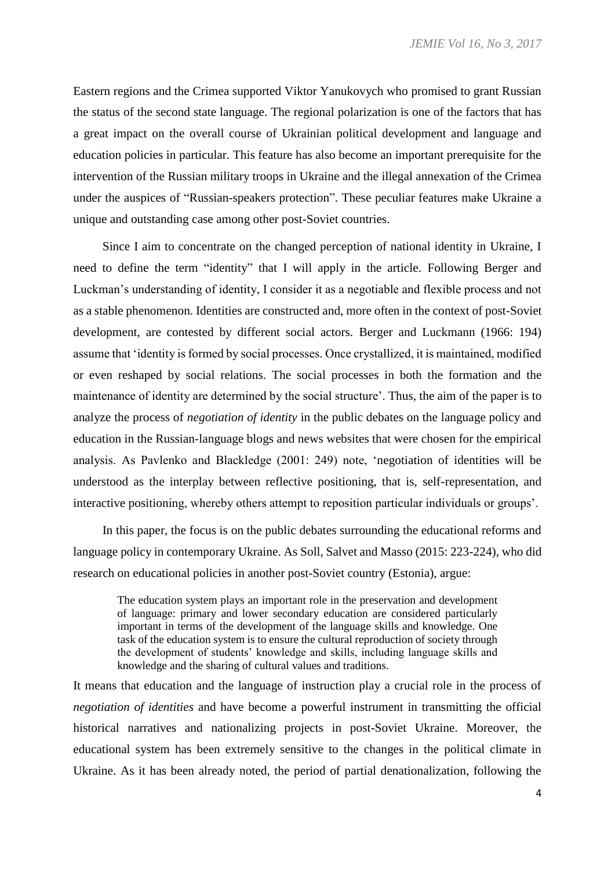Eastern regions and the Crimea supported Viktor Yanukovych who promised to grant Russian the status of the second state language. The regional polarization is one of the factors that has a great impact on the overall course of Ukrainian political development and language and education policies in particular. This feature has also become an important prerequisite for the intervention of the Russian military troops in Ukraine and the illegal annexation of the Crimea under the auspices of "Russian-speakers protection". These peculiar features make Ukraine a unique and outstanding case among other post-Soviet countries.

Since I aim to concentrate on the changed perception of national identity in Ukraine, I need to define the term "identity" that I will apply in the article. Following Berger and Luckman's understanding of identity, I consider it as a negotiable and flexible process and not as a stable phenomenon. Identities are constructed and, more often in the context of post-Soviet development, are contested by different social actors. Berger and Luckmann (1966: 194) assume that 'identity is formed by social processes. Once crystallized, it is maintained, modified or even reshaped by social relations. The social processes in both the formation and the maintenance of identity are determined by the social structure'. Thus, the aim of the paper is to analyze the process of *negotiation of identity* in the public debates on the language policy and education in the Russian-language blogs and news websites that were chosen for the empirical analysis. As Pavlenko and Blackledge (2001: 249) note, 'negotiation of identities will be understood as the interplay between reflective positioning, that is, self-representation, and interactive positioning, whereby others attempt to reposition particular individuals or groups'.

In this paper, the focus is on the public debates surrounding the educational reforms and language policy in contemporary Ukraine. As Soll, Salvet and Masso (2015: 223-224), who did research on educational policies in another post-Soviet country (Estonia), argue:

The education system plays an important role in the preservation and development of language: primary and lower secondary education are considered particularly important in terms of the development of the language skills and knowledge. One task of the education system is to ensure the cultural reproduction of society through the development of students' knowledge and skills, including language skills and knowledge and the sharing of cultural values and traditions.

It means that education and the language of instruction play a crucial role in the process of *negotiation of identities* and have become a powerful instrument in transmitting the official historical narratives and nationalizing projects in post-Soviet Ukraine. Moreover, the educational system has been extremely sensitive to the changes in the political climate in Ukraine. As it has been already noted, the period of partial denationalization, following the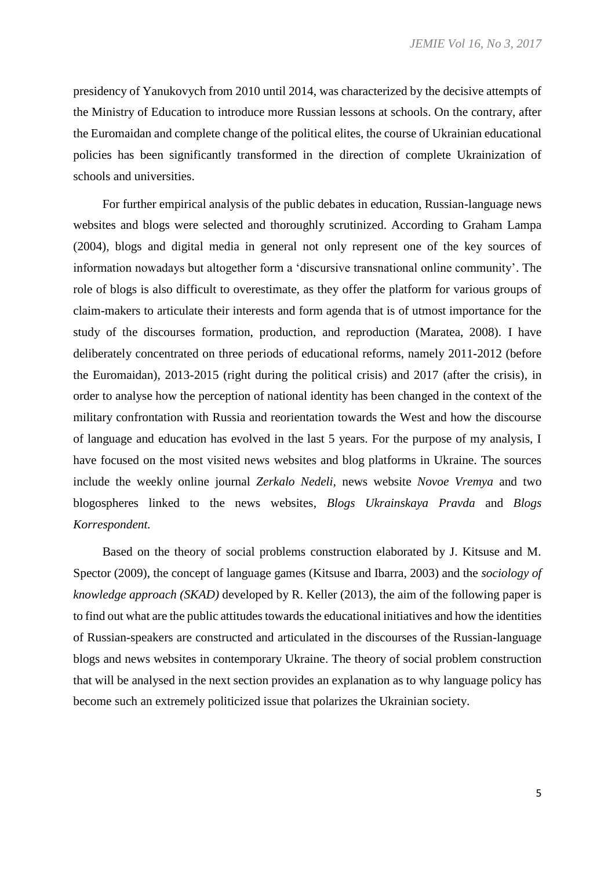presidency of Yanukovych from 2010 until 2014, was characterized by the decisive attempts of the Ministry of Education to introduce more Russian lessons at schools. On the contrary, after the Euromaidan and complete change of the political elites, the course of Ukrainian educational policies has been significantly transformed in the direction of complete Ukrainization of schools and universities.

For further empirical analysis of the public debates in education, Russian-language news websites and blogs were selected and thoroughly scrutinized. According to Graham Lampa (2004), blogs and digital media in general not only represent one of the key sources of information nowadays but altogether form a 'discursive transnational online community'. The role of blogs is also difficult to overestimate, as they offer the platform for various groups of claim-makers to articulate their interests and form agenda that is of utmost importance for the study of the discourses formation, production, and reproduction (Maratea, 2008). I have deliberately concentrated on three periods of educational reforms, namely 2011-2012 (before the Euromaidan), 2013-2015 (right during the political crisis) and 2017 (after the crisis), in order to analyse how the perception of national identity has been changed in the context of the military confrontation with Russia and reorientation towards the West and how the discourse of language and education has evolved in the last 5 years. For the purpose of my analysis, I have focused on the most visited news websites and blog platforms in Ukraine. The sources include the weekly online journal *Zerkalo Nedeli,* news website *Novoe Vremya* and two blogospheres linked to the news websites, *Blogs Ukrainskaya Pravda* and *Blogs Korrespondent.* 

Based on the theory of social problems construction elaborated by J. Kitsuse and M. Spector (2009), the concept of language games (Kitsuse and Ibarra, 2003) and the *sociology of knowledge approach (SKAD)* developed by R. Keller (2013), the aim of the following paper is to find out what are the public attitudes towards the educational initiatives and how the identities of Russian-speakers are constructed and articulated in the discourses of the Russian-language blogs and news websites in contemporary Ukraine. The theory of social problem construction that will be analysed in the next section provides an explanation as to why language policy has become such an extremely politicized issue that polarizes the Ukrainian society.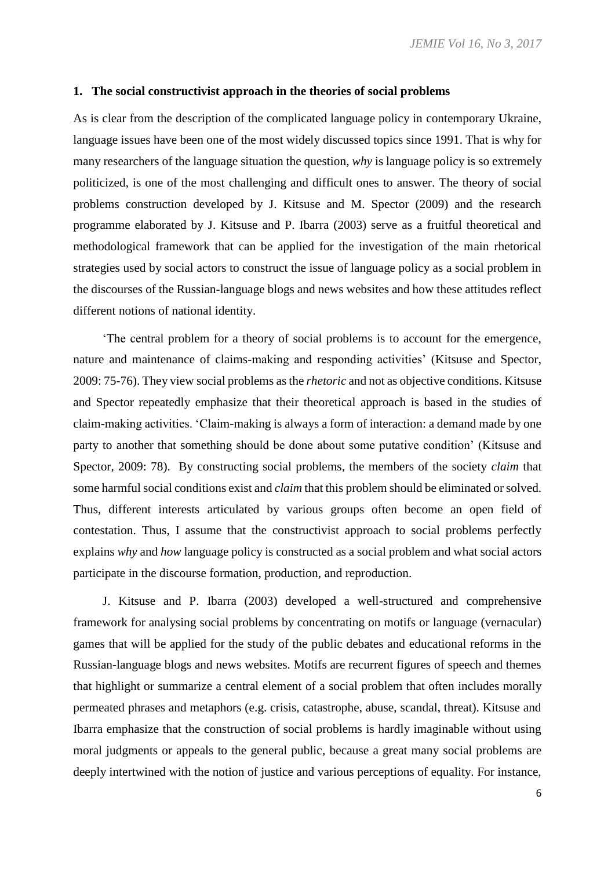### **1. The social constructivist approach in the theories of social problems**

As is clear from the description of the complicated language policy in contemporary Ukraine, language issues have been one of the most widely discussed topics since 1991. That is why for many researchers of the language situation the question, *why* is language policy is so extremely politicized, is one of the most challenging and difficult ones to answer. The theory of social problems construction developed by J. Kitsuse and M. Spector (2009) and the research programme elaborated by J. Kitsuse and P. Ibarra (2003) serve as a fruitful theoretical and methodological framework that can be applied for the investigation of the main rhetorical strategies used by social actors to construct the issue of language policy as a social problem in the discourses of the Russian-language blogs and news websites and how these attitudes reflect different notions of national identity.

'The central problem for a theory of social problems is to account for the emergence, nature and maintenance of claims-making and responding activities' (Kitsuse and Spector, 2009: 75-76). They view social problems as the *rhetoric* and not as objective conditions. Kitsuse and Spector repeatedly emphasize that their theoretical approach is based in the studies of claim-making activities. 'Claim-making is always a form of interaction: a demand made by one party to another that something should be done about some putative condition' (Kitsuse and Spector, 2009: 78). By constructing social problems, the members of the society *claim* that some harmful social conditions exist and *claim* that this problem should be eliminated or solved. Thus, different interests articulated by various groups often become an open field of contestation. Thus, I assume that the constructivist approach to social problems perfectly explains *why* and *how* language policy is constructed as a social problem and what social actors participate in the discourse formation, production, and reproduction.

J. Kitsuse and P. Ibarra (2003) developed a well-structured and comprehensive framework for analysing social problems by concentrating on motifs or language (vernacular) games that will be applied for the study of the public debates and educational reforms in the Russian-language blogs and news websites. Motifs are recurrent figures of speech and themes that highlight or summarize a central element of a social problem that often includes morally permeated phrases and metaphors (e.g. crisis, catastrophe, abuse, scandal, threat). Kitsuse and Ibarra emphasize that the construction of social problems is hardly imaginable without using moral judgments or appeals to the general public, because a great many social problems are deeply intertwined with the notion of justice and various perceptions of equality. For instance,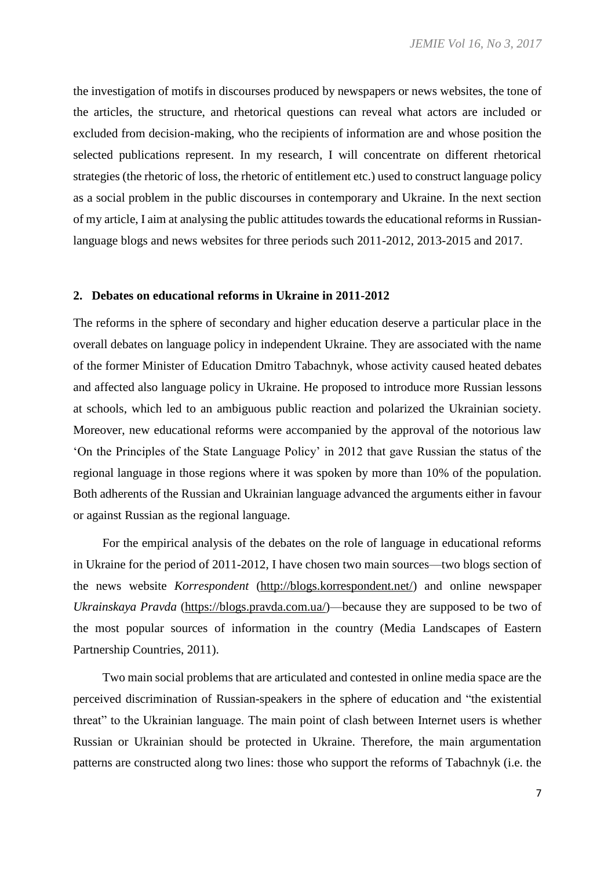the investigation of motifs in discourses produced by newspapers or news websites, the tone of the articles, the structure, and rhetorical questions can reveal what actors are included or excluded from decision-making, who the recipients of information are and whose position the selected publications represent. In my research, I will concentrate on different rhetorical strategies (the rhetoric of loss, the rhetoric of entitlement etc.) used to construct language policy as a social problem in the public discourses in contemporary and Ukraine. In the next section of my article, I aim at analysing the public attitudes towards the educational reforms in Russianlanguage blogs and news websites for three periods such 2011-2012, 2013-2015 and 2017.

### **2. Debates on educational reforms in Ukraine in 2011-2012**

The reforms in the sphere of secondary and higher education deserve a particular place in the overall debates on language policy in independent Ukraine. They are associated with the name of the former Minister of Education Dmitro Tabachnyk, whose activity caused heated debates and affected also language policy in Ukraine. He proposed to introduce more Russian lessons at schools, which led to an ambiguous public reaction and polarized the Ukrainian society. Moreover, new educational reforms were accompanied by the approval of the notorious law 'On the Principles of the State Language Policy' in 2012 that gave Russian the status of the regional language in those regions where it was spoken by more than 10% of the population. Both adherents of the Russian and Ukrainian language advanced the arguments either in favour or against Russian as the regional language.

For the empirical analysis of the debates on the role of language in educational reforms in Ukraine for the period of 2011-2012, I have chosen two main sources—two blogs section of the news website *Korrespondent* (http://blogs.korrespondent.net/) and online newspaper *Ukrainskaya Pravda* (https://blogs.pravda.com.ua/)—because they are supposed to be two of the most popular sources of information in the country (Media Landscapes of Eastern Partnership Countries, 2011).

Two main social problems that are articulated and contested in online media space are the perceived discrimination of Russian-speakers in the sphere of education and "the existential threat" to the Ukrainian language. The main point of clash between Internet users is whether Russian or Ukrainian should be protected in Ukraine. Therefore, the main argumentation patterns are constructed along two lines: those who support the reforms of Tabachnyk (i.e. the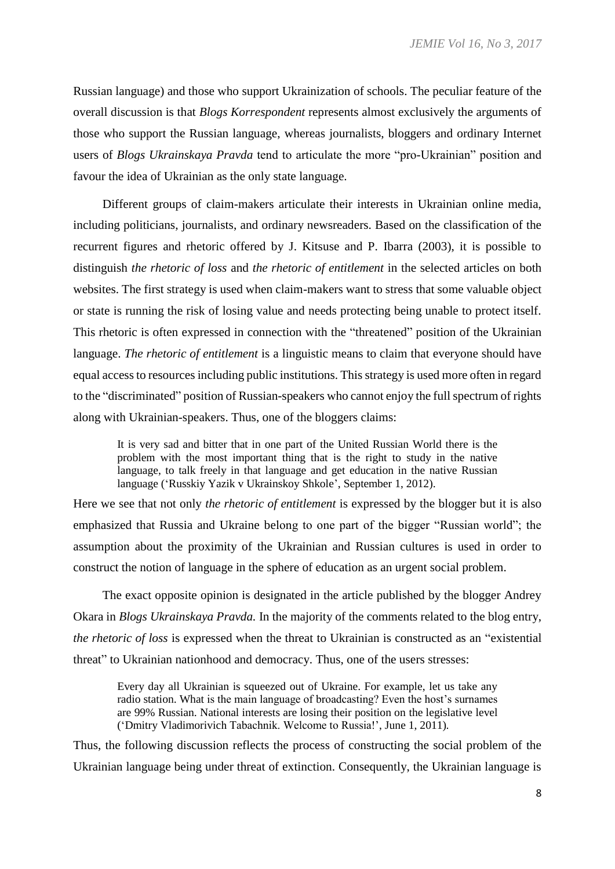Russian language) and those who support Ukrainization of schools. The peculiar feature of the overall discussion is that *Blogs Korrespondent* represents almost exclusively the arguments of those who support the Russian language, whereas journalists, bloggers and ordinary Internet users of *Blogs Ukrainskaya Pravda* tend to articulate the more "pro-Ukrainian" position and favour the idea of Ukrainian as the only state language.

Different groups of claim-makers articulate their interests in Ukrainian online media, including politicians, journalists, and ordinary newsreaders. Based on the classification of the recurrent figures and rhetoric offered by J. Kitsuse and P. Ibarra (2003), it is possible to distinguish *the rhetoric of loss* and *the rhetoric of entitlement* in the selected articles on both websites. The first strategy is used when claim-makers want to stress that some valuable object or state is running the risk of losing value and needs protecting being unable to protect itself. This rhetoric is often expressed in connection with the "threatened" position of the Ukrainian language. *The rhetoric of entitlement* is a linguistic means to claim that everyone should have equal access to resources including public institutions. This strategy is used more often in regard to the "discriminated" position of Russian-speakers who cannot enjoy the full spectrum of rights along with Ukrainian-speakers. Thus, one of the bloggers claims:

It is very sad and bitter that in one part of the United Russian World there is the problem with the most important thing that is the right to study in the native language, to talk freely in that language and get education in the native Russian language ('Russkiy Yazik v Ukrainskoy Shkole', September 1, 2012).

Here we see that not only *the rhetoric of entitlement* is expressed by the blogger but it is also emphasized that Russia and Ukraine belong to one part of the bigger "Russian world"; the assumption about the proximity of the Ukrainian and Russian cultures is used in order to construct the notion of language in the sphere of education as an urgent social problem.

The exact opposite opinion is designated in the article published by the blogger Andrey Okara in *Blogs Ukrainskaya Pravda.* In the majority of the comments related to the blog entry, *the rhetoric of loss* is expressed when the threat to Ukrainian is constructed as an "existential threat" to Ukrainian nationhood and democracy. Thus, one of the users stresses:

Every day all Ukrainian is squeezed out of Ukraine. For example, let us take any radio station. What is the main language of broadcasting? Even the host's surnames are 99% Russian. National interests are losing their position on the legislative level ('Dmitry Vladimorivich Tabachnik. Welcome to Russia!', June 1, 2011)*.*

Thus, the following discussion reflects the process of constructing the social problem of the Ukrainian language being under threat of extinction. Consequently, the Ukrainian language is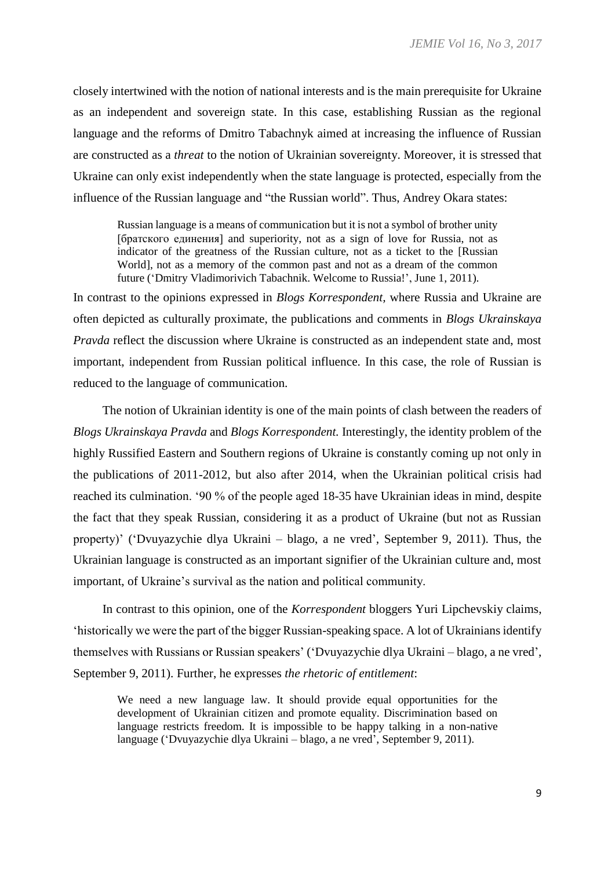closely intertwined with the notion of national interests and is the main prerequisite for Ukraine as an independent and sovereign state. In this case, establishing Russian as the regional language and the reforms of Dmitro Tabachnyk aimed at increasing the influence of Russian are constructed as a *threat* to the notion of Ukrainian sovereignty. Moreover, it is stressed that Ukraine can only exist independently when the state language is protected, especially from the influence of the Russian language and "the Russian world". Thus, Andrey Okara states:

Russian language is a means of communication but it is not a symbol of brother unity [братского единения] and superiority, not as a sign of love for Russia, not as indicator of the greatness of the Russian culture, not as a ticket to the [Russian World], not as a memory of the common past and not as a dream of the common future ('Dmitry Vladimorivich Tabachnik. Welcome to Russia!', June 1, 2011)*.*

In contrast to the opinions expressed in *Blogs Korrespondent,* where Russia and Ukraine are often depicted as culturally proximate, the publications and comments in *Blogs Ukrainskaya Pravda* reflect the discussion where Ukraine is constructed as an independent state and, most important, independent from Russian political influence. In this case, the role of Russian is reduced to the language of communication.

The notion of Ukrainian identity is one of the main points of clash between the readers of *Blogs Ukrainskaya Pravda* and *Blogs Korrespondent.* Interestingly, the identity problem of the highly Russified Eastern and Southern regions of Ukraine is constantly coming up not only in the publications of 2011-2012, but also after 2014, when the Ukrainian political crisis had reached its culmination. '90 % of the people aged 18-35 have Ukrainian ideas in mind, despite the fact that they speak Russian, considering it as a product of Ukraine (but not as Russian property)' ('Dvuyazychie dlya Ukraini – blago, a ne vred', September 9, 2011). Thus, the Ukrainian language is constructed as an important signifier of the Ukrainian culture and, most important, of Ukraine's survival as the nation and political community.

In contrast to this opinion, one of the *Korrespondent* bloggers Yuri Lipchevskiy claims, 'historically we were the part of the bigger Russian-speaking space. A lot of Ukrainians identify themselves with Russians or Russian speakers' ('Dvuyazychie dlya Ukraini – blago, a ne vred', September 9, 2011). Further, he expresses *the rhetoric of entitlement*:

We need a new language law. It should provide equal opportunities for the development of Ukrainian citizen and promote equality. Discrimination based on language restricts freedom. It is impossible to be happy talking in a non-native language ('Dvuyazychie dlya Ukraini – blago, a ne vred', September 9, 2011).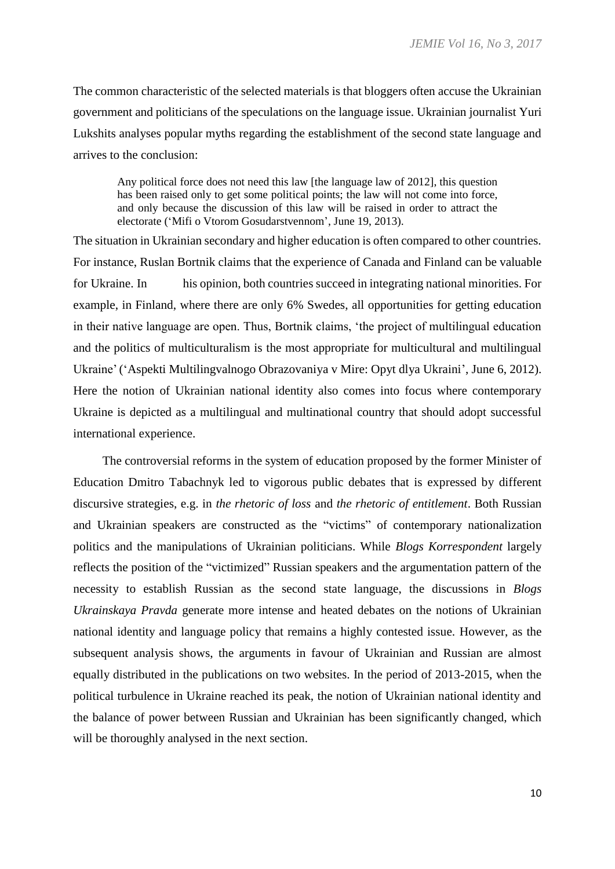The common characteristic of the selected materials is that bloggers often accuse the Ukrainian government and politicians of the speculations on the language issue. Ukrainian journalist Yuri Lukshits analyses popular myths regarding the establishment of the second state language and arrives to the conclusion:

Any political force does not need this law [the language law of 2012], this question has been raised only to get some political points; the law will not come into force, and only because the discussion of this law will be raised in order to attract the electorate ('Mifi o Vtorom Gosudarstvennom', June 19, 2013).

The situation in Ukrainian secondary and higher education is often compared to other countries. For instance, Ruslan Bortnik claims that the experience of Canada and Finland can be valuable for Ukraine. In his opinion, both countries succeed in integrating national minorities. For example, in Finland, where there are only 6% Swedes, all opportunities for getting education in their native language are open. Thus, Bortnik claims, 'the project of multilingual education and the politics of multiculturalism is the most appropriate for multicultural and multilingual Ukraine'('Aspekti Multilingvalnogo Obrazovaniya v Mire: Opyt dlya Ukraini', June 6, 2012). Here the notion of Ukrainian national identity also comes into focus where contemporary Ukraine is depicted as a multilingual and multinational country that should adopt successful international experience.

The controversial reforms in the system of education proposed by the former Minister of Education Dmitro Tabachnyk led to vigorous public debates that is expressed by different discursive strategies, e.g. in *the rhetoric of loss* and *the rhetoric of entitlement*. Both Russian and Ukrainian speakers are constructed as the "victims" of contemporary nationalization politics and the manipulations of Ukrainian politicians. While *Blogs Korrespondent* largely reflects the position of the "victimized" Russian speakers and the argumentation pattern of the necessity to establish Russian as the second state language, the discussions in *Blogs Ukrainskaya Pravda* generate more intense and heated debates on the notions of Ukrainian national identity and language policy that remains a highly contested issue. However, as the subsequent analysis shows, the arguments in favour of Ukrainian and Russian are almost equally distributed in the publications on two websites. In the period of 2013-2015, when the political turbulence in Ukraine reached its peak, the notion of Ukrainian national identity and the balance of power between Russian and Ukrainian has been significantly changed, which will be thoroughly analysed in the next section.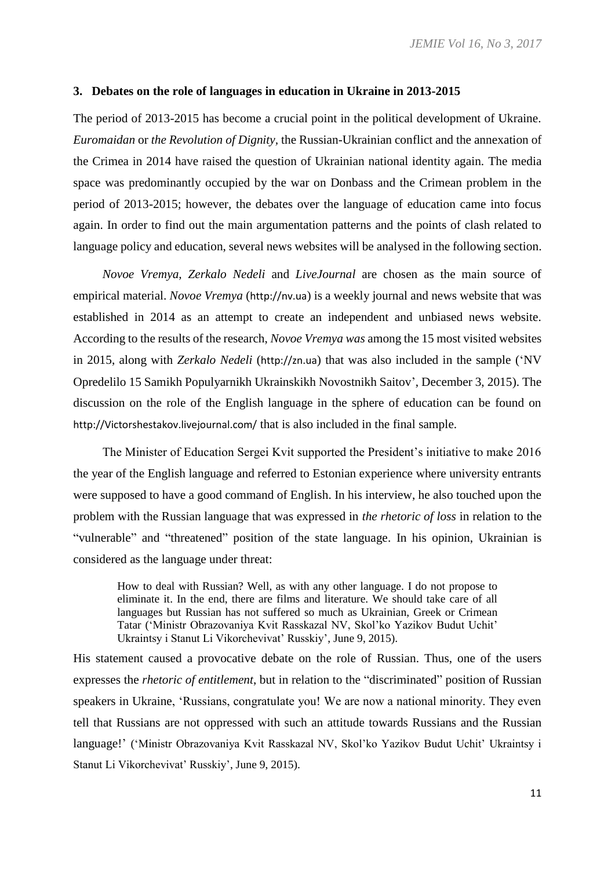### **3. Debates on the role of languages in education in Ukraine in 2013-2015**

The period of 2013-2015 has become a crucial point in the political development of Ukraine. *Euromaidan* or *the Revolution of Dignity,* the Russian-Ukrainian conflict and the annexation of the Crimea in 2014 have raised the question of Ukrainian national identity again. The media space was predominantly occupied by the war on Donbass and the Crimean problem in the period of 2013-2015; however, the debates over the language of education came into focus again. In order to find out the main argumentation patterns and the points of clash related to language policy and education, several news websites will be analysed in the following section.

*Novoe Vremya, Zerkalo Nedeli* and *LiveJournal* are chosen as the main source of empirical material. *Novoe Vremya* (http://nv.ua) is a weekly journal and news website that was established in 2014 as an attempt to create an independent and unbiased news website. According to the results of the research, *Novoe Vremya was* among the 15 most visited websites in 2015, along with *Zerkalo Nedeli* (http://zn.ua) that was also included in the sample ('NV Opredelilo 15 Samikh Populyarnikh Ukrainskikh Novostnikh Saitov', December 3, 2015). The discussion on the role of the English language in the sphere of education can be found on http://Victorshestakov.livejournal.com/ that is also included in the final sample.

The Minister of Education Sergei Kvit supported the President's initiative to make 2016 the year of the English language and referred to Estonian experience where university entrants were supposed to have a good command of English. In his interview, he also touched upon the problem with the Russian language that was expressed in *the rhetoric of loss* in relation to the "vulnerable" and "threatened" position of the state language. In his opinion, Ukrainian is considered as the language under threat:

How to deal with Russian? Well, as with any other language. I do not propose to eliminate it. In the end, there are films and literature. We should take care of all languages but Russian has not suffered so much as Ukrainian, Greek or Crimean Tatar ('Ministr Obrazovaniya Kvit Rasskazal NV, Skol'ko Yazikov Budut Uchit' Ukraintsy i Stanut Li Vikorchevivat' Russkiy', June 9, 2015).

His statement caused a provocative debate on the role of Russian. Thus, one of the users expresses the *rhetoric of entitlement*, but in relation to the "discriminated" position of Russian speakers in Ukraine, 'Russians, congratulate you! We are now a national minority. They even tell that Russians are not oppressed with such an attitude towards Russians and the Russian language!' ('Ministr Obrazovaniya Kvit Rasskazal NV, Skol'ko Yazikov Budut Uchit' Ukraintsy i Stanut Li Vikorchevivat' Russkiy', June 9, 2015).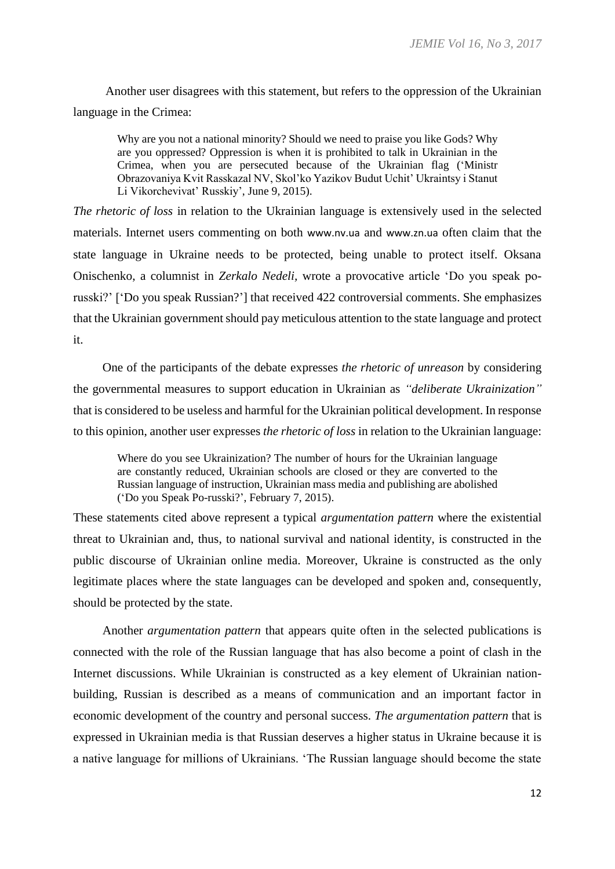Another user disagrees with this statement, but refers to the oppression of the Ukrainian language in the Crimea:

Why are you not a national minority? Should we need to praise you like Gods? Why are you oppressed? Oppression is when it is prohibited to talk in Ukrainian in the Crimea, when you are persecuted because of the Ukrainian flag ('Ministr Obrazovaniya Kvit Rasskazal NV, Skol'ko Yazikov Budut Uchit' Ukraintsy i Stanut Li Vikorchevivat' Russkiy', June 9, 2015).

*The rhetoric of loss* in relation to the Ukrainian language is extensively used in the selected materials. Internet users commenting on both www.nv.ua and www.zn.ua often claim that the state language in Ukraine needs to be protected, being unable to protect itself. Oksana Onischenko, a columnist in *Zerkalo Nedeli,* wrote a provocative article 'Do you speak porusski?' ['Do you speak Russian?'] that received 422 controversial comments. She emphasizes that the Ukrainian government should pay meticulous attention to the state language and protect it.

One of the participants of the debate expresses *the rhetoric of unreason* by considering the governmental measures to support education in Ukrainian as *"deliberate Ukrainization"* that is considered to be useless and harmful for the Ukrainian political development. In response to this opinion, another user expresses *the rhetoric of loss* in relation to the Ukrainian language:

Where do you see Ukrainization? The number of hours for the Ukrainian language are constantly reduced, Ukrainian schools are closed or they are converted to the Russian language of instruction, Ukrainian mass media and publishing are abolished ('Do you Speak Po-russki?', February 7, 2015).

These statements cited above represent a typical *argumentation pattern* where the existential threat to Ukrainian and, thus, to national survival and national identity, is constructed in the public discourse of Ukrainian online media. Moreover, Ukraine is constructed as the only legitimate places where the state languages can be developed and spoken and, consequently, should be protected by the state.

Another *argumentation pattern* that appears quite often in the selected publications is connected with the role of the Russian language that has also become a point of clash in the Internet discussions. While Ukrainian is constructed as a key element of Ukrainian nationbuilding, Russian is described as a means of communication and an important factor in economic development of the country and personal success. *The argumentation pattern* that is expressed in Ukrainian media is that Russian deserves a higher status in Ukraine because it is a native language for millions of Ukrainians. 'The Russian language should become the state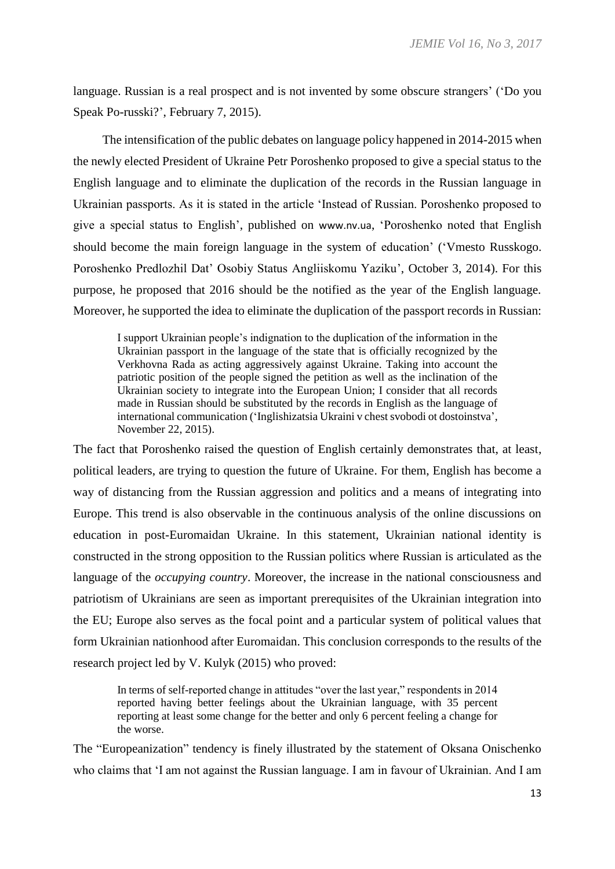language. Russian is a real prospect and is not invented by some obscure strangers' ('Do you Speak Po-russki?', February 7, 2015).

The intensification of the public debates on language policy happened in 2014-2015 when the newly elected President of Ukraine Petr Poroshenko proposed to give a special status to the English language and to eliminate the duplication of the records in the Russian language in Ukrainian passports. As it is stated in the article 'Instead of Russian. Poroshenko proposed to give a special status to English', published on www.nv.ua, 'Poroshenko noted that English should become the main foreign language in the system of education' ('Vmesto Russkogo. Poroshenko Predlozhil Dat' Osobiy Status Angliiskomu Yaziku', October 3, 2014). For this purpose, he proposed that 2016 should be the notified as the year of the English language. Moreover, he supported the idea to eliminate the duplication of the passport records in Russian:

I support Ukrainian people's indignation to the duplication of the information in the Ukrainian passport in the language of the state that is officially recognized by the Verkhovna Rada as acting aggressively against Ukraine. Taking into account the patriotic position of the people signed the petition as well as the inclination of the Ukrainian society to integrate into the European Union; I consider that all records made in Russian should be substituted by the records in English as the language of international communication ('Inglishizatsia Ukraini v chest svobodi ot dostoinstva', November 22, 2015).

The fact that Poroshenko raised the question of English certainly demonstrates that, at least, political leaders, are trying to question the future of Ukraine. For them, English has become a way of distancing from the Russian aggression and politics and a means of integrating into Europe. This trend is also observable in the continuous analysis of the online discussions on education in post-Euromaidan Ukraine. In this statement, Ukrainian national identity is constructed in the strong opposition to the Russian politics where Russian is articulated as the language of the *occupying country*. Moreover, the increase in the national consciousness and patriotism of Ukrainians are seen as important prerequisites of the Ukrainian integration into the EU; Europe also serves as the focal point and a particular system of political values that form Ukrainian nationhood after Euromaidan. This conclusion corresponds to the results of the research project led by V. Kulyk (2015) who proved:

In terms of self-reported change in attitudes "over the last year," respondents in 2014 reported having better feelings about the Ukrainian language, with 35 percent reporting at least some change for the better and only 6 percent feeling a change for the worse.

The "Europeanization" tendency is finely illustrated by the statement of Oksana Onischenko who claims that 'I am not against the Russian language. I am in favour of Ukrainian. And I am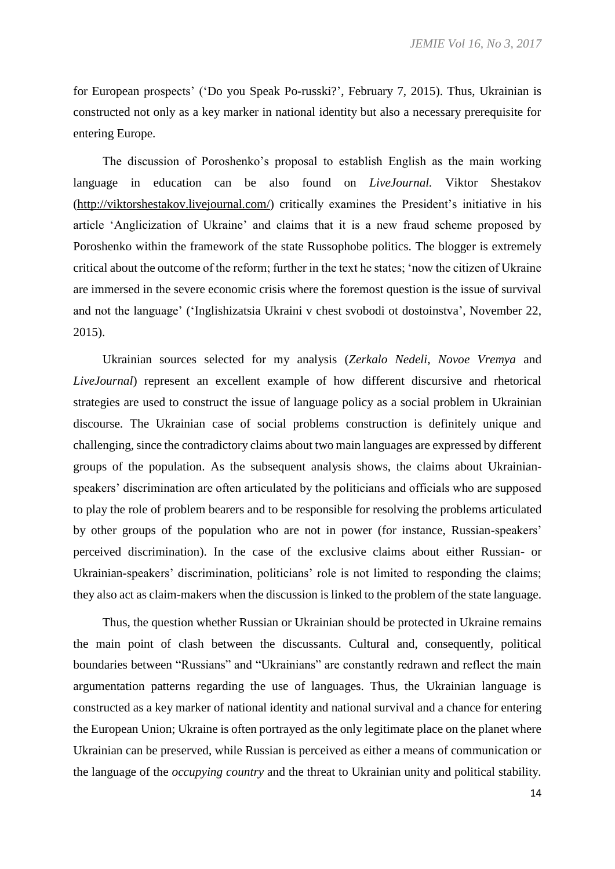for European prospects' ('Do you Speak Po-russki?', February 7, 2015). Thus, Ukrainian is constructed not only as a key marker in national identity but also a necessary prerequisite for entering Europe.

The discussion of Poroshenko's proposal to establish English as the main working language in education can be also found on *LiveJournal.* Viktor Shestakov [\(http://viktorshestakov.livejournal.com/\)](http://viktorshestakov.livejournal.com/) critically examines the President's initiative in his article 'Anglicization of Ukraine' and claims that it is a new fraud scheme proposed by Poroshenko within the framework of the state Russophobe politics. The blogger is extremely critical about the outcome of the reform; further in the text he states; 'now the citizen of Ukraine are immersed in the severe economic crisis where the foremost question is the issue of survival and not the language' ('Inglishizatsia Ukraini v chest svobodi ot dostoinstva', November 22, 2015).

Ukrainian sources selected for my analysis (*Zerkalo Nedeli, Novoe Vremya* and *LiveJournal*) represent an excellent example of how different discursive and rhetorical strategies are used to construct the issue of language policy as a social problem in Ukrainian discourse. The Ukrainian case of social problems construction is definitely unique and challenging, since the contradictory claims about two main languages are expressed by different groups of the population. As the subsequent analysis shows, the claims about Ukrainianspeakers' discrimination are often articulated by the politicians and officials who are supposed to play the role of problem bearers and to be responsible for resolving the problems articulated by other groups of the population who are not in power (for instance, Russian-speakers' perceived discrimination). In the case of the exclusive claims about either Russian- or Ukrainian-speakers' discrimination, politicians' role is not limited to responding the claims; they also act as claim-makers when the discussion is linked to the problem of the state language.

Thus, the question whether Russian or Ukrainian should be protected in Ukraine remains the main point of clash between the discussants. Cultural and, consequently, political boundaries between "Russians" and "Ukrainians" are constantly redrawn and reflect the main argumentation patterns regarding the use of languages. Thus, the Ukrainian language is constructed as a key marker of national identity and national survival and a chance for entering the European Union; Ukraine is often portrayed as the only legitimate place on the planet where Ukrainian can be preserved, while Russian is perceived as either a means of communication or the language of the *occupying country* and the threat to Ukrainian unity and political stability*.*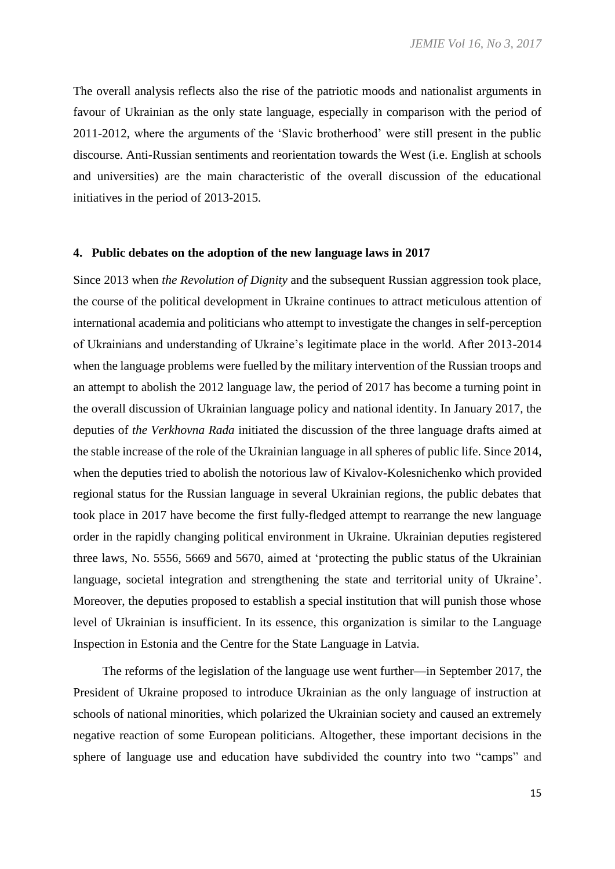The overall analysis reflects also the rise of the patriotic moods and nationalist arguments in favour of Ukrainian as the only state language, especially in comparison with the period of 2011-2012, where the arguments of the 'Slavic brotherhood' were still present in the public discourse. Anti-Russian sentiments and reorientation towards the West (i.e. English at schools and universities) are the main characteristic of the overall discussion of the educational initiatives in the period of 2013-2015.

#### **4. Public debates on the adoption of the new language laws in 2017**

Since 2013 when *the Revolution of Dignity* and the subsequent Russian aggression took place, the course of the political development in Ukraine continues to attract meticulous attention of international academia and politicians who attempt to investigate the changes in self-perception of Ukrainians and understanding of Ukraine's legitimate place in the world. After 2013-2014 when the language problems were fuelled by the military intervention of the Russian troops and an attempt to abolish the 2012 language law, the period of 2017 has become a turning point in the overall discussion of Ukrainian language policy and national identity. In January 2017, the deputies of *the Verkhovna Rada* initiated the discussion of the three language drafts aimed at the stable increase of the role of the Ukrainian language in all spheres of public life. Since 2014, when the deputies tried to abolish the notorious law of Kivalov-Kolesnichenko which provided regional status for the Russian language in several Ukrainian regions, the public debates that took place in 2017 have become the first fully-fledged attempt to rearrange the new language order in the rapidly changing political environment in Ukraine. Ukrainian deputies registered three laws, No. 5556, 5669 and 5670, aimed at 'protecting the public status of the Ukrainian language, societal integration and strengthening the state and territorial unity of Ukraine'. Moreover, the deputies proposed to establish a special institution that will punish those whose level of Ukrainian is insufficient. In its essence, this organization is similar to the Language Inspection in Estonia and the Centre for the State Language in Latvia.

The reforms of the legislation of the language use went further—in September 2017, the President of Ukraine proposed to introduce Ukrainian as the only language of instruction at schools of national minorities, which polarized the Ukrainian society and caused an extremely negative reaction of some European politicians. Altogether, these important decisions in the sphere of language use and education have subdivided the country into two "camps" and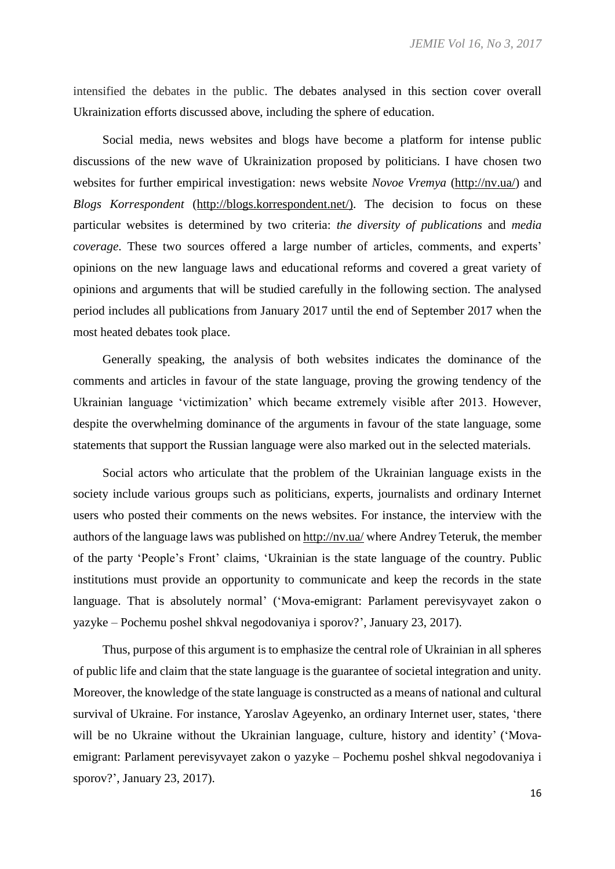intensified the debates in the public. The debates analysed in this section cover overall Ukrainization efforts discussed above, including the sphere of education.

Social media, news websites and blogs have become a platform for intense public discussions of the new wave of Ukrainization proposed by politicians. I have chosen two websites for further empirical investigation: news website *Novoe Vremya* (http://nv.ua/) and *Blogs Korrespondent* (http://blogs.korrespondent.net/). The decision to focus on these particular websites is determined by two criteria: *the diversity of publications* and *media coverage*. These two sources offered a large number of articles, comments, and experts' opinions on the new language laws and educational reforms and covered a great variety of opinions and arguments that will be studied carefully in the following section. The analysed period includes all publications from January 2017 until the end of September 2017 when the most heated debates took place.

Generally speaking, the analysis of both websites indicates the dominance of the comments and articles in favour of the state language, proving the growing tendency of the Ukrainian language 'victimization' which became extremely visible after 2013. However, despite the overwhelming dominance of the arguments in favour of the state language, some statements that support the Russian language were also marked out in the selected materials.

Social actors who articulate that the problem of the Ukrainian language exists in the society include various groups such as politicians, experts, journalists and ordinary Internet users who posted their comments on the news websites. For instance, the interview with the authors of the language laws was published on http://nv.ua/ where Andrey Teteruk, the member of the party 'People's Front' claims, 'Ukrainian is the state language of the country. Public institutions must provide an opportunity to communicate and keep the records in the state language. That is absolutely normal' ('Mova-emigrant: Parlament perevisyvayet zakon o yazyke – Pochemu poshel shkval negodovaniya i sporov?', January 23, 2017).

Thus, purpose of this argument is to emphasize the central role of Ukrainian in all spheres of public life and claim that the state language is the guarantee of societal integration and unity. Moreover, the knowledge of the state language is constructed as a means of national and cultural survival of Ukraine. For instance, Yaroslav Ageyenko, an ordinary Internet user, states, 'there will be no Ukraine without the Ukrainian language, culture, history and identity' ('Movaemigrant: Parlament perevisyvayet zakon o yazyke – Pochemu poshel shkval negodovaniya i sporov?', January 23, 2017).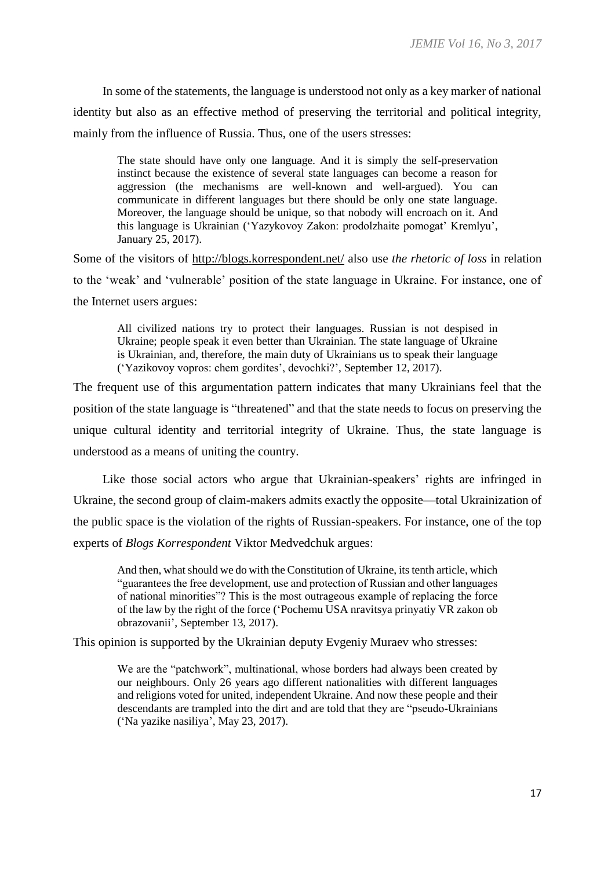In some of the statements, the language is understood not only as a key marker of national identity but also as an effective method of preserving the territorial and political integrity, mainly from the influence of Russia. Thus, one of the users stresses:

The state should have only one language. And it is simply the self-preservation instinct because the existence of several state languages can become a reason for aggression (the mechanisms are well-known and well-argued). You can communicate in different languages but there should be only one state language. Moreover, the language should be unique, so that nobody will encroach on it. And this language is Ukrainian ('Yazykovoy Zakon: prodolzhaite pomogat' Kremlyu', January 25, 2017).

Some of the visitors of http://blogs.korrespondent.net/ also use *the rhetoric of loss* in relation to the 'weak' and 'vulnerable' position of the state language in Ukraine. For instance, one of the Internet users argues:

All civilized nations try to protect their languages. Russian is not despised in Ukraine; people speak it even better than Ukrainian. The state language of Ukraine is Ukrainian, and, therefore, the main duty of Ukrainians us to speak their language ('Yazikovoy vopros: chem gordites', devochki?', September 12, 2017).

The frequent use of this argumentation pattern indicates that many Ukrainians feel that the position of the state language is "threatened" and that the state needs to focus on preserving the unique cultural identity and territorial integrity of Ukraine. Thus, the state language is understood as a means of uniting the country.

Like those social actors who argue that Ukrainian-speakers' rights are infringed in Ukraine, the second group of claim-makers admits exactly the opposite—total Ukrainization of the public space is the violation of the rights of Russian-speakers. For instance, one of the top experts of *Blogs Korrespondent* Viktor Medvedchuk argues:

And then, what should we do with the Constitution of Ukraine, its tenth article, which "guarantees the free development, use and protection of Russian and other languages of national minorities"? This is the most outrageous example of replacing the force of the law by the right of the force ('Pochemu USA nravitsya prinyatiy VR zakon ob obrazovanii', September 13, 2017).

This opinion is supported by the Ukrainian deputy Evgeniy Muraev who stresses:

We are the "patchwork", multinational, whose borders had always been created by our neighbours. Only 26 years ago different nationalities with different languages and religions voted for united, independent Ukraine. And now these people and their descendants are trampled into the dirt and are told that they are "pseudo-Ukrainians ('Na yazike nasiliya', May 23, 2017).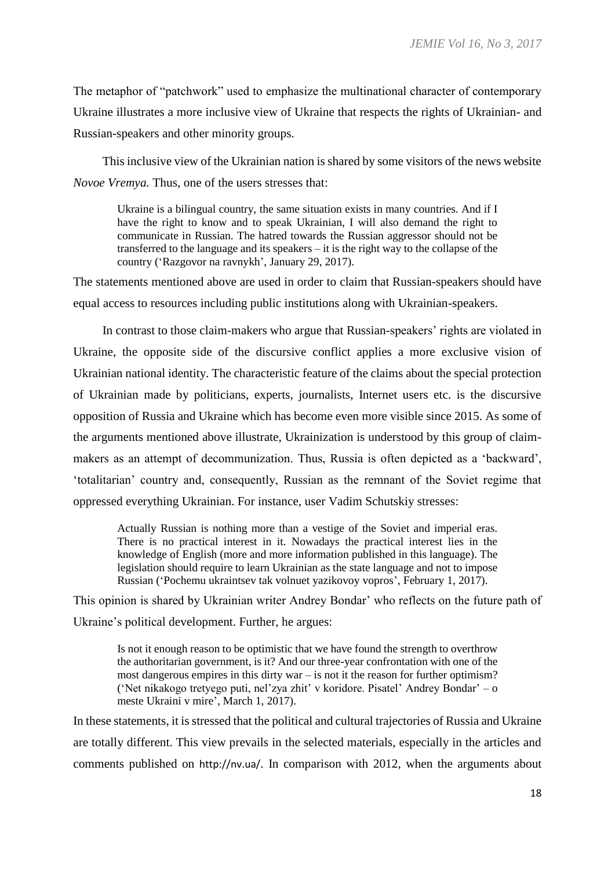The metaphor of "patchwork" used to emphasize the multinational character of contemporary Ukraine illustrates a more inclusive view of Ukraine that respects the rights of Ukrainian- and Russian-speakers and other minority groups.

This inclusive view of the Ukrainian nation is shared by some visitors of the news website *Novoe Vremya.* Thus, one of the users stresses that:

Ukraine is a bilingual country, the same situation exists in many countries. And if I have the right to know and to speak Ukrainian. I will also demand the right to communicate in Russian. The hatred towards the Russian aggressor should not be transferred to the language and its speakers – it is the right way to the collapse of the country ('Razgovor na ravnykh', January 29, 2017).

The statements mentioned above are used in order to claim that Russian-speakers should have equal access to resources including public institutions along with Ukrainian-speakers.

In contrast to those claim-makers who argue that Russian-speakers' rights are violated in Ukraine, the opposite side of the discursive conflict applies a more exclusive vision of Ukrainian national identity. The characteristic feature of the claims about the special protection of Ukrainian made by politicians, experts, journalists, Internet users etc. is the discursive opposition of Russia and Ukraine which has become even more visible since 2015. As some of the arguments mentioned above illustrate, Ukrainization is understood by this group of claimmakers as an attempt of decommunization. Thus, Russia is often depicted as a 'backward', 'totalitarian' country and, consequently, Russian as the remnant of the Soviet regime that oppressed everything Ukrainian. For instance, user Vadim Schutskiy stresses:

Actually Russian is nothing more than a vestige of the Soviet and imperial eras. There is no practical interest in it. Nowadays the practical interest lies in the knowledge of English (more and more information published in this language). The legislation should require to learn Ukrainian as the state language and not to impose Russian ('Pochemu ukraintsev tak volnuet yazikovoy vopros', February 1, 2017).

This opinion is shared by Ukrainian writer Andrey Bondar' who reflects on the future path of Ukraine's political development. Further, he argues:

Is not it enough reason to be optimistic that we have found the strength to overthrow the authoritarian government, is it? And our three-year confrontation with one of the most dangerous empires in this dirty war – is not it the reason for further optimism? ('Net nikakogo tretyego puti, nel'zya zhit' v koridore. Pisatel' Andrey Bondar' – o meste Ukraini v mire', March 1, 2017).

In these statements, it is stressed that the political and cultural trajectories of Russia and Ukraine are totally different. This view prevails in the selected materials, especially in the articles and comments published on http://nv.ua/. In comparison with 2012, when the arguments about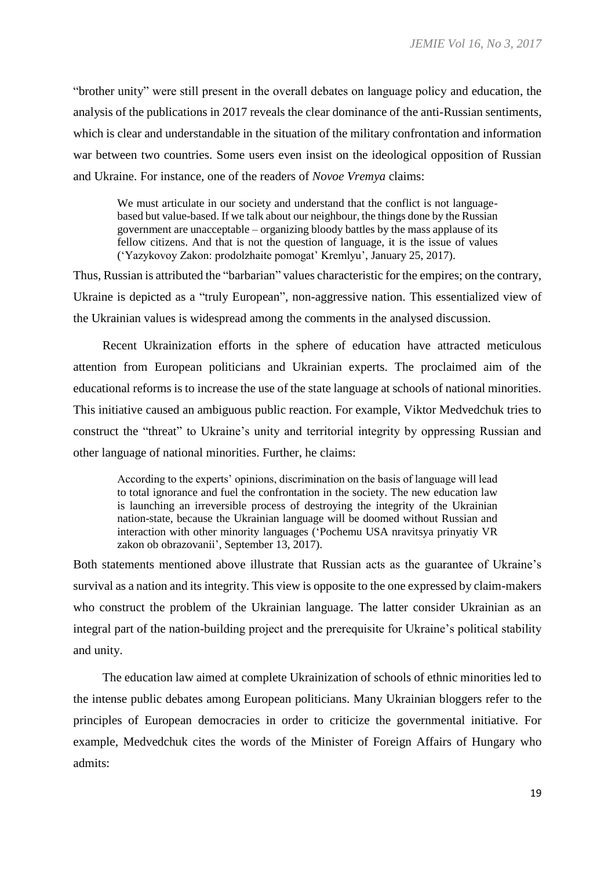"brother unity" were still present in the overall debates on language policy and education, the analysis of the publications in 2017 reveals the clear dominance of the anti-Russian sentiments, which is clear and understandable in the situation of the military confrontation and information war between two countries. Some users even insist on the ideological opposition of Russian and Ukraine. For instance, one of the readers of *Novoe Vremya* claims:

We must articulate in our society and understand that the conflict is not languagebased but value-based. If we talk about our neighbour, the things done by the Russian government are unacceptable – organizing bloody battles by the mass applause of its fellow citizens. And that is not the question of language, it is the issue of values ('Yazykovoy Zakon: prodolzhaite pomogat' Kremlyu', January 25, 2017).

Thus, Russian is attributed the "barbarian" values characteristic for the empires; on the contrary, Ukraine is depicted as a "truly European", non-aggressive nation. This essentialized view of the Ukrainian values is widespread among the comments in the analysed discussion.

Recent Ukrainization efforts in the sphere of education have attracted meticulous attention from European politicians and Ukrainian experts. The proclaimed aim of the educational reforms is to increase the use of the state language at schools of national minorities. This initiative caused an ambiguous public reaction. For example, Viktor Medvedchuk tries to construct the "threat" to Ukraine's unity and territorial integrity by oppressing Russian and other language of national minorities. Further, he claims:

According to the experts' opinions, discrimination on the basis of language will lead to total ignorance and fuel the confrontation in the society. The new education law is launching an irreversible process of destroying the integrity of the Ukrainian nation-state, because the Ukrainian language will be doomed without Russian and interaction with other minority languages ('Pochemu USA nravitsya prinyatiy VR zakon ob obrazovanii', September 13, 2017).

Both statements mentioned above illustrate that Russian acts as the guarantee of Ukraine's survival as a nation and its integrity. This view is opposite to the one expressed by claim-makers who construct the problem of the Ukrainian language. The latter consider Ukrainian as an integral part of the nation-building project and the prerequisite for Ukraine's political stability and unity.

The education law aimed at complete Ukrainization of schools of ethnic minorities led to the intense public debates among European politicians. Many Ukrainian bloggers refer to the principles of European democracies in order to criticize the governmental initiative. For example, Medvedchuk cites the words of the Minister of Foreign Affairs of Hungary who admits: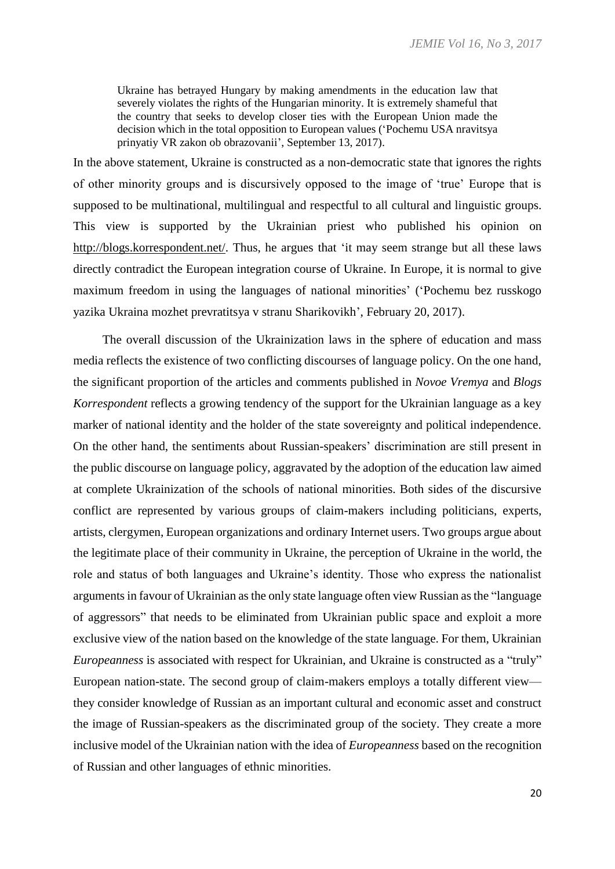Ukraine has betrayed Hungary by making amendments in the education law that severely violates the rights of the Hungarian minority. It is extremely shameful that the country that seeks to develop closer ties with the European Union made the decision which in the total opposition to European values ('Pochemu USA nravitsya prinyatiy VR zakon ob obrazovanii', September 13, 2017).

In the above statement, Ukraine is constructed as a non-democratic state that ignores the rights of other minority groups and is discursively opposed to the image of 'true' Europe that is supposed to be multinational, multilingual and respectful to all cultural and linguistic groups. This view is supported by the Ukrainian priest who published his opinion on http://blogs.korrespondent.net/. Thus, he argues that 'it may seem strange but all these laws directly contradict the European integration course of Ukraine. In Europe, it is normal to give maximum freedom in using the languages of national minorities' ('Pochemu bez russkogo yazika Ukraina mozhet prevratitsya v stranu Sharikovikh', February 20, 2017).

The overall discussion of the Ukrainization laws in the sphere of education and mass media reflects the existence of two conflicting discourses of language policy. On the one hand, the significant proportion of the articles and comments published in *Novoe Vremya* and *Blogs Korrespondent* reflects a growing tendency of the support for the Ukrainian language as a key marker of national identity and the holder of the state sovereignty and political independence. On the other hand, the sentiments about Russian-speakers' discrimination are still present in the public discourse on language policy, aggravated by the adoption of the education law aimed at complete Ukrainization of the schools of national minorities. Both sides of the discursive conflict are represented by various groups of claim-makers including politicians, experts, artists, clergymen, European organizations and ordinary Internet users. Two groups argue about the legitimate place of their community in Ukraine, the perception of Ukraine in the world, the role and status of both languages and Ukraine's identity. Those who express the nationalist arguments in favour of Ukrainian as the only state language often view Russian as the "language of aggressors" that needs to be eliminated from Ukrainian public space and exploit a more exclusive view of the nation based on the knowledge of the state language. For them, Ukrainian *Europeanness* is associated with respect for Ukrainian, and Ukraine is constructed as a "truly" European nation-state. The second group of claim-makers employs a totally different view they consider knowledge of Russian as an important cultural and economic asset and construct the image of Russian-speakers as the discriminated group of the society. They create a more inclusive model of the Ukrainian nation with the idea of *Europeanness* based on the recognition of Russian and other languages of ethnic minorities.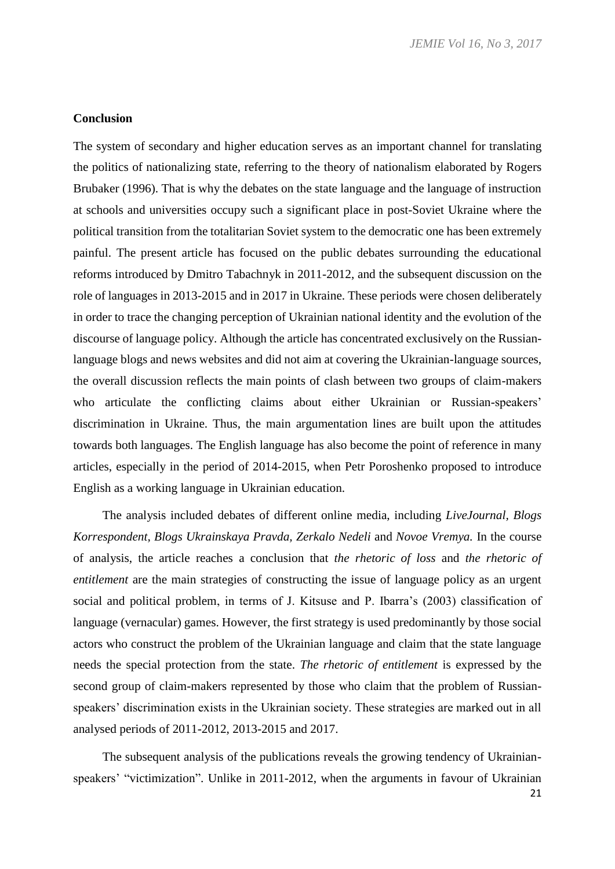#### **Conclusion**

The system of secondary and higher education serves as an important channel for translating the politics of nationalizing state, referring to the theory of nationalism elaborated by Rogers Brubaker (1996). That is why the debates on the state language and the language of instruction at schools and universities occupy such a significant place in post-Soviet Ukraine where the political transition from the totalitarian Soviet system to the democratic one has been extremely painful. The present article has focused on the public debates surrounding the educational reforms introduced by Dmitro Tabachnyk in 2011-2012, and the subsequent discussion on the role of languages in 2013-2015 and in 2017 in Ukraine. These periods were chosen deliberately in order to trace the changing perception of Ukrainian national identity and the evolution of the discourse of language policy. Although the article has concentrated exclusively on the Russianlanguage blogs and news websites and did not aim at covering the Ukrainian-language sources, the overall discussion reflects the main points of clash between two groups of claim-makers who articulate the conflicting claims about either Ukrainian or Russian-speakers' discrimination in Ukraine. Thus, the main argumentation lines are built upon the attitudes towards both languages. The English language has also become the point of reference in many articles, especially in the period of 2014-2015, when Petr Poroshenko proposed to introduce English as a working language in Ukrainian education.

The analysis included debates of different online media, including *LiveJournal, Blogs Korrespondent, Blogs Ukrainskaya Pravda, Zerkalo Nedeli* and *Novoe Vremya.* In the course of analysis, the article reaches a conclusion that *the rhetoric of loss* and *the rhetoric of entitlement* are the main strategies of constructing the issue of language policy as an urgent social and political problem, in terms of J. Kitsuse and P. Ibarra's (2003) classification of language (vernacular) games. However, the first strategy is used predominantly by those social actors who construct the problem of the Ukrainian language and claim that the state language needs the special protection from the state. *The rhetoric of entitlement* is expressed by the second group of claim-makers represented by those who claim that the problem of Russianspeakers' discrimination exists in the Ukrainian society. These strategies are marked out in all analysed periods of 2011-2012, 2013-2015 and 2017.

The subsequent analysis of the publications reveals the growing tendency of Ukrainianspeakers' "victimization". Unlike in 2011-2012, when the arguments in favour of Ukrainian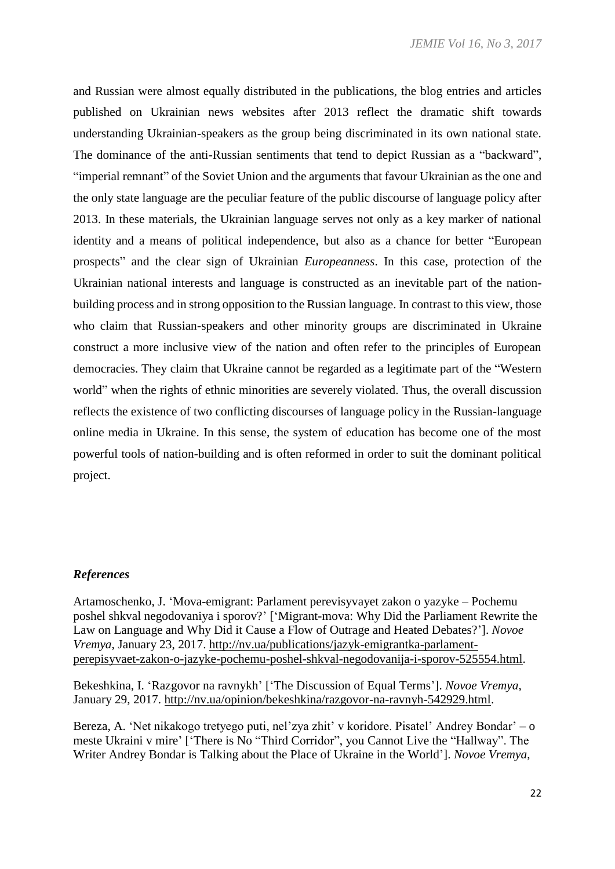and Russian were almost equally distributed in the publications, the blog entries and articles published on Ukrainian news websites after 2013 reflect the dramatic shift towards understanding Ukrainian-speakers as the group being discriminated in its own national state. The dominance of the anti-Russian sentiments that tend to depict Russian as a "backward", "imperial remnant" of the Soviet Union and the arguments that favour Ukrainian as the one and the only state language are the peculiar feature of the public discourse of language policy after 2013. In these materials, the Ukrainian language serves not only as a key marker of national identity and a means of political independence, but also as a chance for better "European prospects" and the clear sign of Ukrainian *Europeanness*. In this case, protection of the Ukrainian national interests and language is constructed as an inevitable part of the nationbuilding process and in strong opposition to the Russian language. In contrast to this view, those who claim that Russian-speakers and other minority groups are discriminated in Ukraine construct a more inclusive view of the nation and often refer to the principles of European democracies. They claim that Ukraine cannot be regarded as a legitimate part of the "Western world" when the rights of ethnic minorities are severely violated. Thus, the overall discussion reflects the existence of two conflicting discourses of language policy in the Russian-language online media in Ukraine. In this sense, the system of education has become one of the most powerful tools of nation-building and is often reformed in order to suit the dominant political project.

#### *References*

Artamoschenko, J. 'Mova-emigrant: Parlament perevisyvayet zakon o yazyke – Pochemu poshel shkval negodovaniya i sporov?' ['Migrant-mova: Why Did the Parliament Rewrite the Law on Language and Why Did it Cause a Flow of Outrage and Heated Debates?']. *Novoe Vremya*, January 23, 2017. http://nv.ua/publications/jazyk-emigrantka-parlamentperepisyvaet-zakon-o-jazyke-pochemu-poshel-shkval-negodovanija-i-sporov-525554.html.

Bekeshkina, I. 'Razgovor na ravnykh' ['The Discussion of Equal Terms']. *Novoe Vremya*, January 29, 2017. http://nv.ua/opinion/bekeshkina/razgovor-na-ravnyh-542929.html.

Bereza, A. 'Net nikakogo tretyego puti, nel'zya zhit' v koridore. Pisatel' Andrey Bondar' – o meste Ukraini v mire' ['There is No "Third Corridor", you Cannot Live the "Hallway". The Writer Andrey Bondar is Talking about the Place of Ukraine in the World']. *Novoe Vremya*,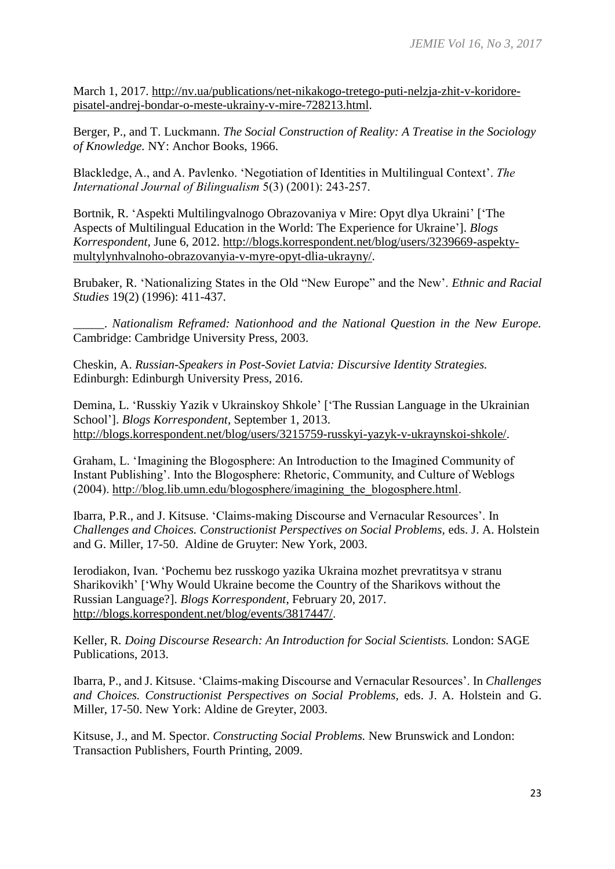March 1, 2017. http://nv.ua/publications/net-nikakogo-tretego-puti-nelzja-zhit-v-koridorepisatel-andrej-bondar-o-meste-ukrainy-v-mire-728213.html.

Berger, P., and T. Luckmann. *The Social Construction of Reality: A Treatise in the Sociology of Knowledge.* NY: Anchor Books, 1966.

Blackledge, A., and A. Pavlenko. 'Negotiation of Identities in Multilingual Context'. *The International Journal of Bilingualism* 5(3) (2001): 243-257.

Bortnik, R. 'Aspekti Multilingvalnogo Obrazovaniya v Mire: Opyt dlya Ukraini' ['The Aspects of Multilingual Education in the World: The Experience for Ukraine']. *Blogs Korrespondent*, June 6, 2012. http://blogs.korrespondent.net/blog/users/3239669-aspektymultylynhvalnoho-obrazovanyia-v-myre-opyt-dlia-ukrayny/.

Brubaker, R. 'Nationalizing States in the Old "New Europe" and the New'. *Ethnic and Racial Studies* 19(2) (1996): 411-437.

\_\_\_\_\_. *Nationalism Reframed: Nationhood and the National Question in the New Europe.* Cambridge: Cambridge University Press, 2003.

Cheskin, A. *Russian-Speakers in Post-Soviet Latvia: Discursive Identity Strategies.*  Edinburgh: Edinburgh University Press, 2016.

Demina, L. 'Russkiy Yazik v Ukrainskoy Shkole' ['The Russian Language in the Ukrainian School']. *Blogs Korrespondent*, September 1, 2013. http://blogs.korrespondent.net/blog/users/3215759-russkyi-yazyk-v-ukraynskoi-shkole/.

Graham, L. 'Imagining the Blogosphere: An Introduction to the Imagined Community of Instant Publishing'. Into the Blogosphere: Rhetoric, Community, and Culture of Weblogs (2004). [http://blog.lib.umn.edu/blogosphere/imagining\\_the\\_blogosphere.html.](http://blog.lib.umn.edu/blogosphere/imagining_the_blogosphere.html)

Ibarra, P.R., and J. Kitsuse. 'Claims-making Discourse and Vernacular Resources'. In *Challenges and Choices. Constructionist Perspectives on Social Problems,* eds. J. A. Holstein and G. Miller, 17-50. Aldine de Gruyter: New York, 2003.

Ierodiakon, Ivan. 'Pochemu bez russkogo yazika Ukraina mozhet prevratitsya v stranu Sharikovikh' ['Why Would Ukraine become the Country of the Sharikovs without the Russian Language?]. *Blogs Korrespondent*, February 20, 2017. http://blogs.korrespondent.net/blog/events/3817447/.

Keller, R*. Doing Discourse Research: An Introduction for Social Scientists.* London: SAGE Publications, 2013.

Ibarra, P., and J. Kitsuse. 'Claims-making Discourse and Vernacular Resources'. In *Challenges and Choices. Constructionist Perspectives on Social Problems,* eds. J. A. Holstein and G. Miller, 17-50. New York: Aldine de Greyter, 2003.

Kitsuse, J., and M. Spector. *Constructing Social Problems.* New Brunswick and London: Transaction Publishers, Fourth Printing, 2009.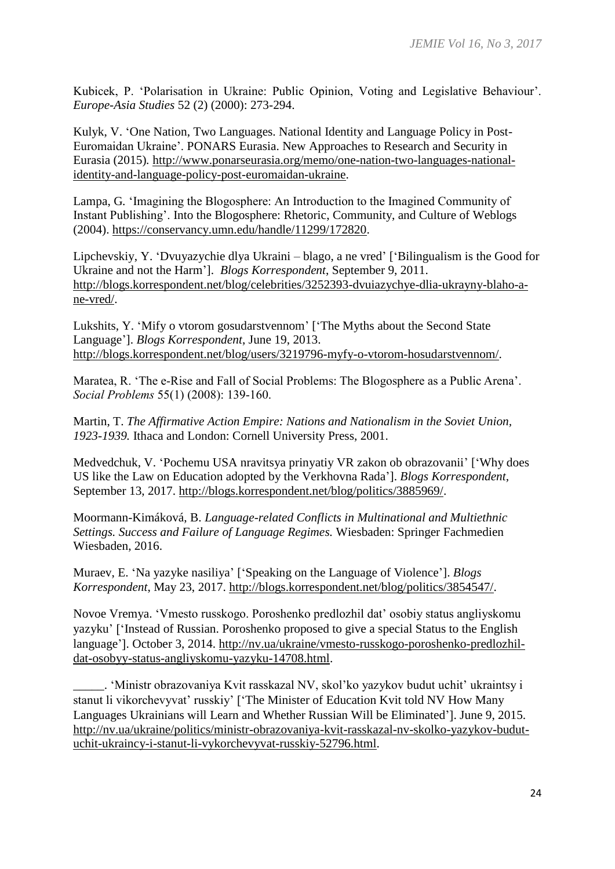Kubicek, P. 'Polarisation in Ukraine: Public Opinion, Voting and Legislative Behaviour'. *Europe-Asia Studies* 52 (2) (2000): 273-294.

Kulyk, V. 'One Nation, Two Languages. National Identity and Language Policy in Post-Euromaidan Ukraine'. PONARS Eurasia. New Approaches to Research and Security in Eurasia (2015)*.* http://www.ponarseurasia.org/memo/one-nation-two-languages-nationalidentity-and-language-policy-post-euromaidan-ukraine.

Lampa, G*.* 'Imagining the Blogosphere: An Introduction to the Imagined Community of Instant Publishing'. Into the Blogosphere: Rhetoric, Community, and Culture of Weblogs (2004). https://conservancy.umn.edu/handle/11299/172820.

Lipchevskiy, Y. 'Dvuyazychie dlya Ukraini – blago, a ne vred' ['Bilingualism is the Good for Ukraine and not the Harm']. *Blogs Korrespondent*, September 9, 2011. http://blogs.korrespondent.net/blog/celebrities/3252393-dvuiazychye-dlia-ukrayny-blaho-ane-vred/.

Lukshits, Y. 'Mify o vtorom gosudarstvennom' ['The Myths about the Second State Language']. *Blogs Korrespondent*, June 19, 2013. http://blogs.korrespondent.net/blog/users/3219796-myfy-o-vtorom-hosudarstvennom/.

Maratea, R. 'The e-Rise and Fall of Social Problems: The Blogosphere as a Public Arena'. *Social Problems* 55(1) (2008): 139-160.

Martin, T. *The Affirmative Action Empire: Nations and Nationalism in the Soviet Union, 1923-1939.* Ithaca and London: Cornell University Press, 2001.

Medvedchuk, V. 'Pochemu USA nravitsya prinyatiy VR zakon ob obrazovanii' ['Why does US like the Law on Education adopted by the Verkhovna Rada']. *Blogs Korrespondent*, September 13, 2017. http://blogs.korrespondent.net/blog/politics/3885969/.

Moormann-Kimáková, B. *Language-related Conflicts in Multinational and Multiethnic Settings. Success and Failure of Language Regimes.* Wiesbaden: Springer Fachmedien Wiesbaden, 2016.

Muraev, E. 'Na yazyke nasiliya' ['Speaking on the Language of Violence']. *Blogs Korrespondent*, May 23, 2017. http://blogs.korrespondent.net/blog/politics/3854547/.

Novoe Vremya. 'Vmesto russkogo. Poroshenko predlozhil dat' osobiy status angliyskomu yazyku' ['Instead of Russian. Poroshenko proposed to give a special Status to the English language'l. October 3, 2014. http://nv.ua/ukraine/vmesto-russkogo-poroshenko-predlozhildat-osobyy-status-angliyskomu-yazyku-14708.html.

\_\_\_\_\_. 'Ministr obrazovaniya Kvit rasskazal NV, skol'ko yazykov budut uchit' ukraintsy i stanut li vikorchevyvat' russkiy' ['The Minister of Education Kvit told NV How Many Languages Ukrainians will Learn and Whether Russian Will be Eliminated']. June 9, 2015. http://nv.ua/ukraine/politics/ministr-obrazovaniya-kvit-rasskazal-nv-skolko-yazykov-budutuchit-ukraincy-i-stanut-li-vykorchevyvat-russkiy-52796.html.